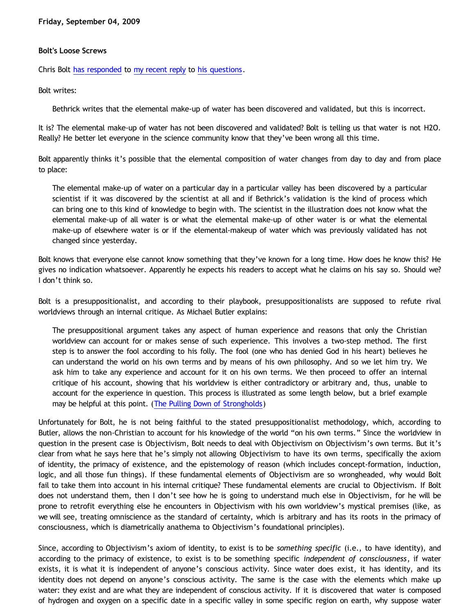# **Friday, September 04, 2009**

#### **Bolt's Loose Screws**

Chris Bolt [has responded](http://choosinghats.blogspot.com/2009/09/all-bethrick-all-time.html) to [my recent reply](http://bahnsenburner.blogspot.com/2009/09/chris-bolts-questions.html) to [his questions.](http://choosinghats.blogspot.com/2009/07/friendly-chat-in-simple-terms.html)

Bolt writes:

Bethrick writes that the elemental make-up of water has been discovered and validated, but this is incorrect.

It is? The elemental make-up of water has not been discovered and validated? Bolt is telling us that water is not H2O. Really? He better let everyone in the science community know that they've been wrong all this time.

Bolt apparently thinks it's possible that the elemental composition of water changes from day to day and from place to place:

The elemental make-up of water on a particular day in a particular valley has been discovered by a particular scientist if it was discovered by the scientist at all and if Bethrick's validation is the kind of process which can bring one to this kind of knowledge to begin with. The scientist in the illustration does not know what the elemental make-up of all water is or what the elemental make-up of other water is or what the elemental make-up of elsewhere water is or if the elemental-makeup of water which was previously validated has not changed since yesterday.

Bolt knows that everyone else cannot know something that they've known for a long time. How does he know this? He gives no indication whatsoever. Apparently he expects his readers to accept what he claims on his say so. Should we? I don't think so.

Bolt is a presuppositionalist, and according to their playbook, presuppositionalists are supposed to refute rival worldviews through an internal critique. As Michael Butler explains:

The presuppositional argument takes any aspect of human experience and reasons that only the Christian worldview can account for or makes sense of such experience. This involves a two-step method. The first step is to answer the fool according to his folly. The fool (one who has denied God in his heart) believes he can understand the world on his own terms and by means of his own philosophy. And so we let him try. We ask him to take any experience and account for it on his own terms. We then proceed to offer an internal critique of his account, showing that his worldview is either contradictory or arbitrary and, thus, unable to account for the experience in question. This process is illustrated as some length below, but a brief example may be helpful at this point. ([The Pulling Down of Strongholds](http://butler-harris.org/archives/158))

Unfortunately for Bolt, he is not being faithful to the stated presuppositionalist methodology, which, according to Butler, allows the non-Christian to account for his knowledge of the world "on his own terms." Since the worldview in question in the present case is Objectivism, Bolt needs to deal with Objectivism on Objectivism's own terms. But it's clear from what he says here that he's simply not allowing Objectivism to have its own terms, specifically the axiom of identity, the primacy of existence, and the epistemology of reason (which includes concept-formation, induction, logic, and all those fun things). If these fundamental elements of Objectivism are so wrongheaded, why would Bolt fail to take them into account in his internal critique? These fundamental elements are crucial to Objectivism. If Bolt does not understand them, then I don't see how he is going to understand much else in Objectivism, for he will be prone to retrofit everything else he encounters in Objectivism with his own worldview's mystical premises (like, as we will see, treating omniscience as the standard of certainty, which is arbitrary and has its roots in the primacy of consciousness, which is diametrically anathema to Objectivism's foundational principles).

Since, according to Objectivism's axiom of identity, to exist is to be *something specific* (i.e., to have identity), and according to the primacy of existence, to exist is to be something specific *independent of consciousness*, if water exists, it is what it is independent of anyone's conscious activity. Since water does exist, it has identity, and its identity does not depend on anyone's conscious activity. The same is the case with the elements which make up water: they exist and are what they are independent of conscious activity. If it is discovered that water is composed of hydrogen and oxygen on a specific date in a specific valley in some specific region on earth, why suppose water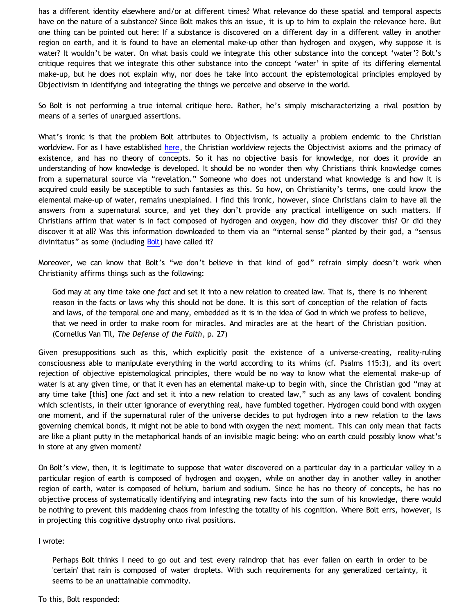has a different identity elsewhere and/or at different times? What relevance do these spatial and temporal aspects have on the nature of a substance? Since Bolt makes this an issue, it is up to him to explain the relevance here. But one thing can be pointed out here: If a substance is discovered on a different day in a different valley in another region on earth, and it is found to have an elemental make-up other than hydrogen and oxygen, why suppose it is water? It wouldn't be water. On what basis could we integrate this other substance into the concept 'water'? Bolt's critique requires that we integrate this other substance into the concept 'water' in spite of its differing elemental make-up, but he does not explain why, nor does he take into account the epistemological principles employed by Objectivism in identifying and integrating the things we perceive and observe in the world.

So Bolt is not performing a true internal critique here. Rather, he's simply mischaracterizing a rival position by means of a series of unargued assertions.

What's ironic is that the problem Bolt attributes to Objectivism, is actually a problem endemic to the Christian worldview. For as I have established [here,](http://bahnsenburner.blogspot.com/2009/08/razorskiss-on-christian-god-as-basis-of_25.html) the Christian worldview rejects the Objectivist axioms and the primacy of existence, and has no theory of concepts. So it has no objective basis for knowledge, nor does it provide an understanding of how knowledge is developed. It should be no wonder then why Christians think knowledge comes from a supernatural source via "revelation." Someone who does not understand what knowledge is and how it is acquired could easily be susceptible to such fantasies as this. So how, on Christianity's terms, one could know the elemental make-up of water, remains unexplained. I find this ironic, however, since Christians claim to have all the answers from a supernatural source, and yet they don't provide any practical intelligence on such matters. If Christians affirm that water is in fact composed of hydrogen and oxygen, how did they discover this? Or did they discover it at all? Was this information downloaded to them via an "internal sense" planted by their god, a "sensus divinitatus" as some (including [Bolt](http://choosinghats.blogspot.com/2009/07/friendly-chat-in-simple-terms.html)) have called it?

Moreover, we can know that Bolt's "we don't believe in that kind of god" refrain simply doesn't work when Christianity affirms things such as the following:

God may at any time take one *fact* and set it into a new relation to created law. That is, there is no inherent reason in the facts or laws why this should not be done. It is this sort of conception of the relation of facts and laws, of the temporal one and many, embedded as it is in the idea of God in which we profess to believe, that we need in order to make room for miracles. And miracles are at the heart of the Christian position. (Cornelius Van Til, *The Defense of the Faith*, p. 27)

Given presuppositions such as this, which explicitly posit the existence of a universe-creating, reality-ruling consciousness able to manipulate everything in the world according to its whims (cf. Psalms 115:3), and its overt rejection of objective epistemological principles, there would be no way to know what the elemental make-up of water is at any given time, or that it even has an elemental make-up to begin with, since the Christian god "may at any time take [this] one *fact* and set it into a new relation to created law," such as any laws of covalent bonding which scientists, in their utter ignorance of everything real, have fumbled together. Hydrogen could bond with oxygen one moment, and if the supernatural ruler of the universe decides to put hydrogen into a new relation to the laws governing chemical bonds, it might not be able to bond with oxygen the next moment. This can only mean that facts are like a pliant putty in the metaphorical hands of an invisible magic being: who on earth could possibly know what's in store at any given moment?

On Bolt's view, then, it is legitimate to suppose that water discovered on a particular day in a particular valley in a particular region of earth is composed of hydrogen and oxygen, while on another day in another valley in another region of earth, water is composed of helium, barium and sodium. Since he has no theory of concepts, he has no objective process of systematically identifying and integrating new facts into the sum of his knowledge, there would be nothing to prevent this maddening chaos from infesting the totality of his cognition. Where Bolt errs, however, is in projecting this cognitive dystrophy onto rival positions.

I wrote:

Perhaps Bolt thinks I need to go out and test every raindrop that has ever fallen on earth in order to be 'certain' that rain is composed of water droplets. With such requirements for any generalized certainty, it seems to be an unattainable commodity.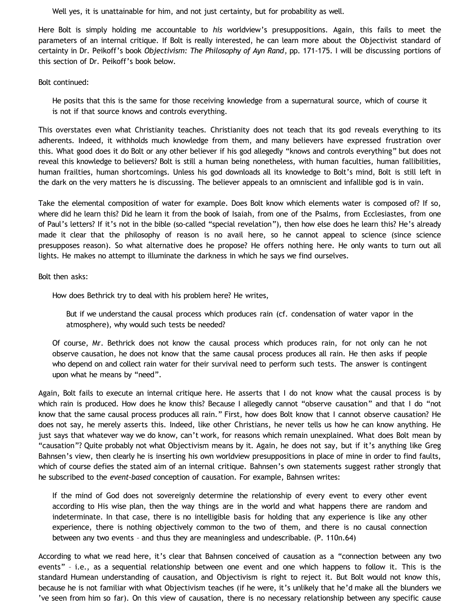Well yes, it is unattainable for him, and not just certainty, but for probability as well.

Here Bolt is simply holding me accountable to *his* worldview's presuppositions. Again, this fails to meet the parameters of an internal critique. If Bolt is really interested, he can learn more about the Objectivist standard of certainty in Dr. Peikoff's book *Objectivism: The Philosophy of Ayn Rand*, pp. 171-175. I will be discussing portions of this section of Dr. Peikoff's book below.

Bolt continued:

He posits that this is the same for those receiving knowledge from a supernatural source, which of course it is not if that source knows and controls everything.

This overstates even what Christianity teaches. Christianity does not teach that its god reveals everything to its adherents. Indeed, it withholds much knowledge from them, and many believers have expressed frustration over this. What good does it do Bolt or any other believer if his god allegedly "knows and controls everything" but does not reveal this knowledge to believers? Bolt is still a human being nonetheless, with human faculties, human fallibilities, human frailties, human shortcomings. Unless his god downloads all its knowledge to Bolt's mind, Bolt is still left in the dark on the very matters he is discussing. The believer appeals to an omniscient and infallible god is in vain.

Take the elemental composition of water for example. Does Bolt know which elements water is composed of? If so, where did he learn this? Did he learn it from the book of Isaiah, from one of the Psalms, from Ecclesiastes, from one of Paul's letters? If it's not in the bible (so-called "special revelation"), then how else does he learn this? He's already made it clear that the philosophy of reason is no avail here, so he cannot appeal to science (since science presupposes reason). So what alternative does he propose? He offers nothing here. He only wants to turn out all lights. He makes no attempt to illuminate the darkness in which he says we find ourselves.

Bolt then asks:

How does Bethrick try to deal with his problem here? He writes,

But if we understand the causal process which produces rain (cf. condensation of water vapor in the atmosphere), why would such tests be needed?

Of course, Mr. Bethrick does not know the causal process which produces rain, for not only can he not observe causation, he does not know that the same causal process produces all rain. He then asks if people who depend on and collect rain water for their survival need to perform such tests. The answer is contingent upon what he means by "need".

Again, Bolt fails to execute an internal critique here. He asserts that I do not know what the causal process is by which rain is produced. How does he know this? Because I allegedly cannot "observe causation" and that I do "not know that the same causal process produces all rain." First, how does Bolt know that I cannot observe causation? He does not say, he merely asserts this. Indeed, like other Christians, he never tells us how he can know anything. He just says that whatever way we do know, can't work, for reasons which remain unexplained. What does Bolt mean by "causation"? Quite probably not what Objectivism means by it. Again, he does not say, but if it's anything like Greg Bahnsen's view, then clearly he is inserting his own worldview presuppositions in place of mine in order to find faults, which of course defies the stated aim of an internal critique. Bahnsen's own statements suggest rather strongly that he subscribed to the *event-based* conception of causation. For example, Bahnsen writes:

If the mind of God does not sovereignly determine the relationship of every event to every other event according to His wise plan, then the way things are in the world and what happens there are random and indeterminate. In that case, there is no intelligible basis for holding that any experience is like any other experience, there is nothing objectively common to the two of them, and there is no causal connection between any two events – and thus they are meaningless and undescribable. (P. 110n.64)

According to what we read here, it's clear that Bahnsen conceived of causation as a "connection between any two events" – i.e., as a sequential relationship between one event and one which happens to follow it. This is the standard Humean understanding of causation, and Objectivism is right to reject it. But Bolt would not know this, because he is not familiar with what Objectivism teaches (if he were, it's unlikely that he'd make all the blunders we 've seen from him so far). On this view of causation, there is no necessary relationship between any specific cause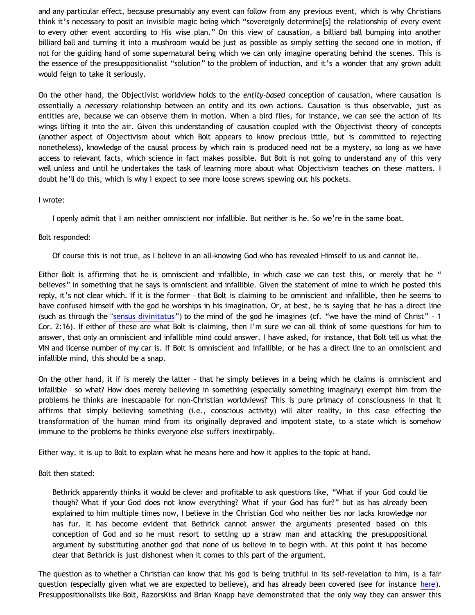and any particular effect, because presumably any event can follow from any previous event, which is why Christians think it's necessary to posit an invisible magic being which "sovereignly determine[s] the relationship of every event to every other event according to His wise plan." On this view of causation, a billiard ball bumping into another billiard ball and turning it into a mushroom would be just as possible as simply setting the second one in motion, if not for the guiding hand of some supernatural being which we can only imagine operating behind the scenes. This is the essence of the presuppositionalist "solution" to the problem of induction, and it's a wonder that any grown adult would feign to take it seriously.

On the other hand, the Objectivist worldview holds to the *entity-based* conception of causation, where causation is essentially a *necessary* relationship between an entity and its own actions. Causation is thus observable, just as entities are, because we can observe them in motion. When a bird flies, for instance, we can see the action of its wings lifting it into the air. Given this understanding of causation coupled with the Objectivist theory of concepts (another aspect of Objectivism about which Bolt appears to know precious little, but is committed to rejecting nonetheless), knowledge of the causal process by which rain is produced need not be a mystery, so long as we have access to relevant facts, which science in fact makes possible. But Bolt is not going to understand any of this very well unless and until he undertakes the task of learning more about what Objectivism teaches on these matters. I doubt he'll do this, which is why I expect to see more loose screws spewing out his pockets.

## I wrote:

I openly admit that I am neither omniscient nor infallible. But neither is he. So we're in the same boat.

## Bolt responded:

Of course this is not true, as I believe in an all-knowing God who has revealed Himself to us and cannot lie.

Either Bolt is affirming that he is omniscient and infallible, in which case we can test this, or merely that he " believes" in something that he says is omniscient and infallible. Given the statement of mine to which he posted this reply, it's not clear which. If it is the former – that Bolt is claiming to be omniscient and infallible, then he seems to have confused himself with the god he worships in his imagination. Or, at best, he is saying that he has a direct line (such as through the "[sensus divinitatus"](http://bahnsenburner.blogspot.com/2009/08/razorskiss-on-christian-god-as-basis-of.html)) to the mind of the god he imagines (cf. "we have the mind of Christ" – 1 Cor. 2:16). If either of these are what Bolt is claiming, then I'm sure we can all think of some questions for him to answer, that only an omniscient and infallible mind could answer. I have asked, for instance, that Bolt tell us what the VIN and license number of my car is. If Bolt is omniscient and infallible, or he has a direct line to an omniscient and infallible mind, this should be a snap.

On the other hand, it if is merely the latter – that he simply believes in a being which he claims is omniscient and infallible – so what? How does merely believing in something (especially something imaginary) exempt him from the problems he thinks are inescapable for non-Christian worldviews? This is pure primacy of consciousness in that it affirms that simply believing something (i.e., conscious activity) will alter reality, in this case effecting the transformation of the human mind from its originally depraved and impotent state, to a state which is somehow immune to the problems he thinks everyone else suffers inextirpably.

Either way, it is up to Bolt to explain what he means here and how it applies to the topic at hand.

# Bolt then stated:

Bethrick apparently thinks it would be clever and profitable to ask questions like, "What if your God could lie though? What if your God does not know everything? What if your God has fur?" but as has already been explained to him multiple times now, I believe in the Christian God who neither lies nor lacks knowledge nor has fur. It has become evident that Bethrick cannot answer the arguments presented based on this conception of God and so he must resort to setting up a straw man and attacking the presuppositional argument by substituting another god that none of us believe in to begin with. At this point it has become clear that Bethrick is just dishonest when it comes to this part of the argument.

The question as to whether a Christian can know that his god is being truthful in its self-revelation to him, is a fair question (especially given what we are expected to believe), and has already been covered (see for instance [here\)](http://bahnsenburner.blogspot.com/2009/08/razorskiss-on-christian-god-as-basis-of_28.html). Presuppositionalists like Bolt, RazorsKiss and Brian Knapp have demonstrated that the only way they can answer this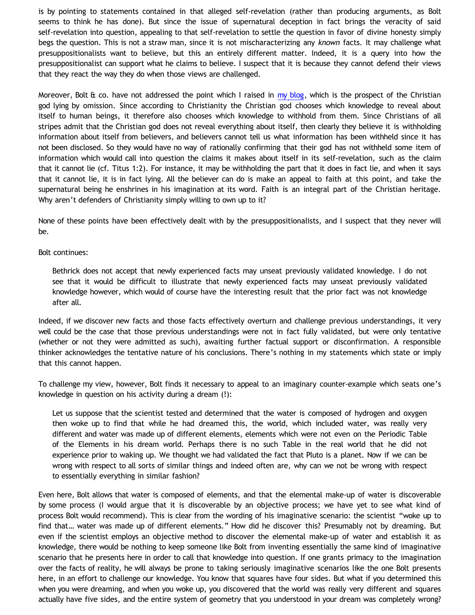is by pointing to statements contained in that alleged self-revelation (rather than producing arguments, as Bolt seems to think he has done). But since the issue of supernatural deception in fact brings the veracity of said self-revelation into question, appealing to that self-revelation to settle the question in favor of divine honesty simply begs the question. This is not a straw man, since it is not mischaracterizing any *known* facts. It may challenge what presuppositionalists want to believe, but this an entirely different matter. Indeed, it is a query into how the presuppositionalist can support what he claims to believe. I suspect that it is because they cannot defend their views that they react the way they do when those views are challenged.

Moreover, Bolt & co. have not addressed the point which I raised in [my blog](http://bahnsenburner.blogspot.com/2009/08/razorskiss-on-christian-god-as-basis-of_28.html), which is the prospect of the Christian god lying by omission. Since according to Christianity the Christian god chooses which knowledge to reveal about itself to human beings, it therefore also chooses which knowledge to withhold from them. Since Christians of all stripes admit that the Christian god does not reveal everything about itself, then clearly they believe it is withholding information about itself from believers, and believers cannot tell us what information has been withheld since it has not been disclosed. So they would have no way of rationally confirming that their god has not withheld some item of information which would call into question the claims it makes about itself in its self-revelation, such as the claim that it cannot lie (cf. Titus 1:2). For instance, it may be withholding the part that it does in fact lie, and when it says that it cannot lie, it is in fact lying. All the believer can do is make an appeal to faith at this point, and take the supernatural being he enshrines in his imagination at its word. Faith is an integral part of the Christian heritage. Why aren't defenders of Christianity simply willing to own up to it?

None of these points have been effectively dealt with by the presuppositionalists, and I suspect that they never will be.

## Bolt continues:

Bethrick does not accept that newly experienced facts may unseat previously validated knowledge. I do not see that it would be difficult to illustrate that newly experienced facts may unseat previously validated knowledge however, which would of course have the interesting result that the prior fact was not knowledge after all.

Indeed, if we discover new facts and those facts effectively overturn and challenge previous understandings, it very well could be the case that those previous understandings were not in fact fully validated, but were only tentative (whether or not they were admitted as such), awaiting further factual support or disconfirmation. A responsible thinker acknowledges the tentative nature of his conclusions. There's nothing in my statements which state or imply that this cannot happen.

To challenge my view, however, Bolt finds it necessary to appeal to an imaginary counter-example which seats one's knowledge in question on his activity during a dream (!):

Let us suppose that the scientist tested and determined that the water is composed of hydrogen and oxygen then woke up to find that while he had dreamed this, the world, which included water, was really very different and water was made up of different elements, elements which were not even on the Periodic Table of the Elements in his dream world. Perhaps there is no such Table in the real world that he did not experience prior to waking up. We thought we had validated the fact that Pluto is a planet. Now if we can be wrong with respect to all sorts of similar things and indeed often are, why can we not be wrong with respect to essentially everything in similar fashion?

Even here, Bolt allows that water is composed of elements, and that the elemental make-up of water is discoverable by some process (I would argue that it is discoverable by an objective process; we have yet to see what kind of process Bolt would recommend). This is clear from the wording of his imaginative scenario: the scientist "woke up to find that… water was made up of different elements." How did he discover this? Presumably not by dreaming. But even if the scientist employs an objective method to discover the elemental make-up of water and establish it as knowledge, there would be nothing to keep someone like Bolt from inventing essentially the same kind of imaginative scenario that he presents here in order to call that knowledge into question. If one grants primacy to the imagination over the facts of reality, he will always be prone to taking seriously imaginative scenarios like the one Bolt presents here, in an effort to challenge our knowledge. You know that squares have four sides. But what if you determined this when you were dreaming, and when you woke up, you discovered that the world was really very different and squares actually have five sides, and the entire system of geometry that you understood in your dream was completely wrong?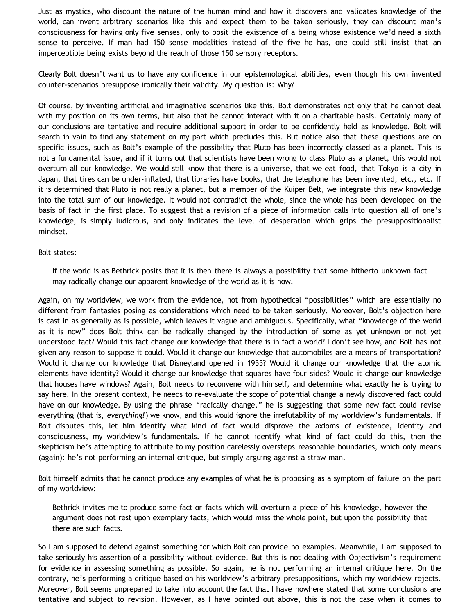Just as mystics, who discount the nature of the human mind and how it discovers and validates knowledge of the world, can invent arbitrary scenarios like this and expect them to be taken seriously, they can discount man's consciousness for having only five senses, only to posit the existence of a being whose existence we'd need a sixth sense to perceive. If man had 150 sense modalities instead of the five he has, one could still insist that an imperceptible being exists beyond the reach of those 150 sensory receptors.

Clearly Bolt doesn't want us to have any confidence in our epistemological abilities, even though his own invented counter-scenarios presuppose ironically their validity. My question is: Why?

Of course, by inventing artificial and imaginative scenarios like this, Bolt demonstrates not only that he cannot deal with my position on its own terms, but also that he cannot interact with it on a charitable basis. Certainly many of our conclusions are tentative and require additional support in order to be confidently held as knowledge. Bolt will search in vain to find any statement on my part which precludes this. But notice also that these questions are on specific issues, such as Bolt's example of the possibility that Pluto has been incorrectly classed as a planet. This is not a fundamental issue, and if it turns out that scientists have been wrong to class Pluto as a planet, this would not overturn all our knowledge. We would still know that there is a universe, that we eat food, that Tokyo is a city in Japan, that tires can be under-inflated, that libraries have books, that the telephone has been invented, etc., etc. If it is determined that Pluto is not really a planet, but a member of the Kuiper Belt, we integrate this new knowledge into the total sum of our knowledge. It would not contradict the whole, since the whole has been developed on the basis of fact in the first place. To suggest that a revision of a piece of information calls into question all of one's knowledge, is simply ludicrous, and only indicates the level of desperation which grips the presuppositionalist mindset.

#### Bolt states:

If the world is as Bethrick posits that it is then there is always a possibility that some hitherto unknown fact may radically change our apparent knowledge of the world as it is now.

Again, on my worldview, we work from the evidence, not from hypothetical "possibilities" which are essentially no different from fantasies posing as considerations which need to be taken seriously. Moreover, Bolt's objection here is cast in as generally as is possible, which leaves it vague and ambiguous. Specifically, what "knowledge of the world as it is now" does Bolt think can be radically changed by the introduction of some as yet unknown or not yet understood fact? Would this fact change our knowledge that there is in fact a world? I don't see how, and Bolt has not given any reason to suppose it could. Would it change our knowledge that automobiles are a means of transportation? Would it change our knowledge that Disneyland opened in 1955? Would it change our knowledge that the atomic elements have identity? Would it change our knowledge that squares have four sides? Would it change our knowledge that houses have windows? Again, Bolt needs to reconvene with himself, and determine what exactly he is trying to say here. In the present context, he needs to re-evaluate the scope of potential change a newly discovered fact could have on our knowledge. By using the phrase "radically change," he is suggesting that some new fact could revise everything (that is, *everything!*) we know, and this would ignore the irrefutability of my worldview's fundamentals. If Bolt disputes this, let him identify what kind of fact would disprove the axioms of existence, identity and consciousness, my worldview's fundamentals. If he cannot identify what kind of fact could do this, then the skepticism he's attempting to attribute to my position carelessly oversteps reasonable boundaries, which only means (again): he's not performing an internal critique, but simply arguing against a straw man.

Bolt himself admits that he cannot produce any examples of what he is proposing as a symptom of failure on the part of my worldview:

Bethrick invites me to produce some fact or facts which will overturn a piece of his knowledge, however the argument does not rest upon exemplary facts, which would miss the whole point, but upon the possibility that there are such facts.

So I am supposed to defend against something for which Bolt can provide no examples. Meanwhile, I am supposed to take seriously his assertion of a possibility without evidence. But this is not dealing with Objectivism's requirement for evidence in assessing something as possible. So again, he is not performing an internal critique here. On the contrary, he's performing a critique based on his worldview's arbitrary presuppositions, which my worldview rejects. Moreover, Bolt seems unprepared to take into account the fact that I have nowhere stated that some conclusions are tentative and subject to revision. However, as I have pointed out above, this is not the case when it comes to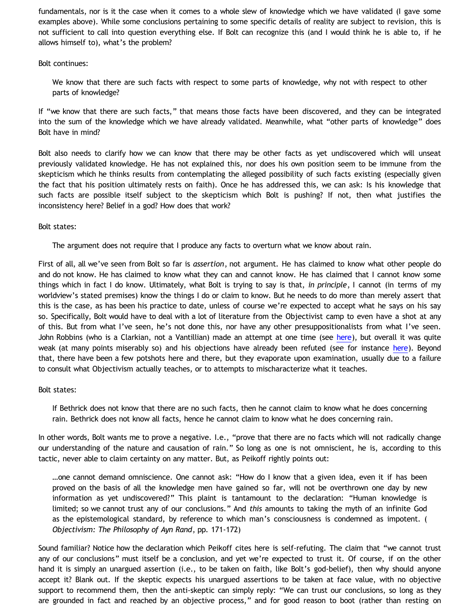fundamentals, nor is it the case when it comes to a whole slew of knowledge which we have validated (I gave some examples above). While some conclusions pertaining to some specific details of reality are subject to revision, this is not sufficient to call into question everything else. If Bolt can recognize this (and I would think he is able to, if he allows himself to), what's the problem?

## Bolt continues:

We know that there are such facts with respect to some parts of knowledge, why not with respect to other parts of knowledge?

If "we know that there are such facts," that means those facts have been discovered, and they can be integrated into the sum of the knowledge which we have already validated. Meanwhile, what "other parts of knowledge" does Bolt have in mind?

Bolt also needs to clarify how we can know that there may be other facts as yet undiscovered which will unseat previously validated knowledge. He has not explained this, nor does his own position seem to be immune from the skepticism which he thinks results from contemplating the alleged possibility of such facts existing (especially given the fact that his position ultimately rests on faith). Once he has addressed this, we can ask: Is his knowledge that such facts are possible itself subject to the skepticism which Bolt is pushing? If not, then what justifies the inconsistency here? Belief in a god? How does that work?

## Bolt states:

The argument does not require that I produce any facts to overturn what we know about rain.

First of all, all we've seen from Bolt so far is *assertion*, not argument. He has claimed to know what other people do and do not know. He has claimed to know what they can and cannot know. He has claimed that I cannot know some things which in fact I do know. Ultimately, what Bolt is trying to say is that, *in principle*, I cannot (in terms of my worldview's stated premises) know the things I do or claim to know. But he needs to do more than merely assert that this is the case, as has been his practice to date, unless of course we're expected to accept what he says on his say so. Specifically, Bolt would have to deal with a lot of literature from the Objectivist camp to even have a shot at any of this. But from what I've seen, he's not done this, nor have any other presuppositionalists from what I've seen. John Robbins (who is a Clarkian, not a Vantillian) made an attempt at one time (see [here\)](http://www.amazon.com/Without-Prayer-Rand-Close-System/dp/0940931745/ref=sr_1_1?ie=UTF8&s=books&qid=1252010727&sr=1-1), but overall it was quite weak (at many points miserably so) and his objections have already been refuted (see for instance [here](http://www.objectivistcenter.org/cth--71-Has_Objectivism_Been_Refuted.aspx)). Beyond that, there have been a few potshots here and there, but they evaporate upon examination, usually due to a failure to consult what Objectivism actually teaches, or to attempts to mischaracterize what it teaches.

## Bolt states:

If Bethrick does not know that there are no such facts, then he cannot claim to know what he does concerning rain. Bethrick does not know all facts, hence he cannot claim to know what he does concerning rain.

In other words, Bolt wants me to prove a negative. I.e., "prove that there are no facts which will not radically change our understanding of the nature and causation of rain." So long as one is not omniscient, he is, according to this tactic, never able to claim certainty on any matter. But, as Peikoff rightly points out:

…one cannot demand omniscience. One cannot ask: "How do I know that a given idea, even it if has been proved on the basis of all the knowledge men have gained so far, will not be overthrown one day by new information as yet undiscovered?" This plaint is tantamount to the declaration: "Human knowledge is limited; so we cannot trust any of our conclusions." And *this* amounts to taking the myth of an infinite God as the epistemological standard, by reference to which man's consciousness is condemned as impotent. ( *Objectivism: The Philosophy of Ayn Rand*, pp. 171-172)

Sound familiar? Notice how the declaration which Peikoff cites here is self-refuting. The claim that "we cannot trust any of our conclusions" must itself be a conclusion, and yet we're expected to trust it. Of course, if on the other hand it is simply an unargued assertion (i.e., to be taken on faith, like Bolt's god-belief), then why should anyone accept it? Blank out. If the skeptic expects his unargued assertions to be taken at face value, with no objective support to recommend them, then the anti-skeptic can simply reply: "We can trust our conclusions, so long as they are grounded in fact and reached by an objective process," and for good reason to boot (rather than resting on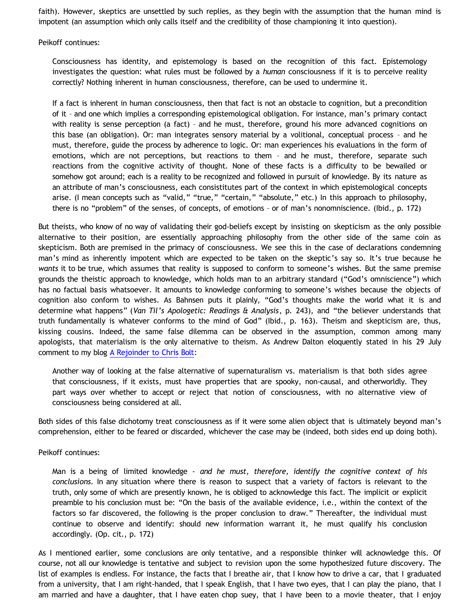faith). However, skeptics are unsettled by such replies, as they begin with the assumption that the human mind is impotent (an assumption which only calls itself and the credibility of those championing it into question).

Peikoff continues:

Consciousness has identity, and epistemology is based on the recognition of this fact. Epistemology investigates the question: what rules must be followed by a *human* consciousness if it is to perceive reality correctly? Nothing inherent in human consciousness, therefore, can be used to undermine it.

If a fact is inherent in human consciousness, then that fact is not an obstacle to cognition, but a precondition of it – and one which implies a corresponding epistemological obligation. For instance, man's primary contact with reality is sense perception (a fact) – and he must, therefore, ground his more advanced cognitions on this base (an obligation). Or: man integrates sensory material by a volitional, conceptual process – and he must, therefore, guide the process by adherence to logic. Or: man experiences his evaluations in the form of emotions, which are not perceptions, but reactions to them – and he must, therefore, separate such reactions from the cognitive activity of thought. None of these facts is a difficulty to be bewailed or somehow got around; each is a reality to be recognized and followed in pursuit of knowledge. By its nature as an attribute of man's consciousness, each consistitutes part of the context in which epistemological concepts arise. (I mean concepts such as "valid," "true," "certain," "absolute," etc.) In this approach to philosophy, there is no "problem" of the senses, of concepts, of emotions – or of man's nonomniscience. (Ibid., p. 172)

But theists, who know of no way of validating their god-beliefs except by insisting on skepticism as the only possible alternative to their position, are essentially approaching philosophy from the other side of the same coin as skepticism. Both are premised in the primacy of consciousness. We see this in the case of declarations condemning man's mind as inherently impotent which are expected to be taken on the skeptic's say so. It's true because he *wants* it to be true, which assumes that reality is supposed to conform to someone's wishes. But the same premise grounds the theistic approach to knowledge, which holds man to an arbitrary standard ("God's omniscience") which has no factual basis whatsoever. It amounts to knowledge conforming to someone's wishes because the objects of cognition also conform to wishes. As Bahnsen puts it plainly, "God's thoughts make the world what it is and determine what happens" (*Van Til's Apologetic: Readings & Analysis*, p. 243), and "the believer understands that truth fundamentally is whatever conforms to the mind of God" (Ibid., p. 163). Theism and skepticism are, thus, kissing cousins. Indeed, the same false dilemma can be observed in the assumption, common among many apologists, that materialism is the only alternative to theism. As Andrew Dalton eloquently stated in his 29 July comment to my blog [A Rejoinder to Chris Bolt](http://bahnsenburner.blogspot.com/2009/07/rejoinder-to-chris-bolt.html):

Another way of looking at the false alternative of supernaturalism vs. materialism is that both sides agree that consciousness, if it exists, must have properties that are spooky, non-causal, and otherworldly. They part ways over whether to accept or reject that notion of consciousness, with no alternative view of consciousness being considered at all.

Both sides of this false dichotomy treat consciousness as if it were some alien object that is ultimately beyond man's comprehension, either to be feared or discarded, whichever the case may be (indeed, both sides end up doing both).

# Peikoff continues:

Man is a being of limited knowledge - *and he must, therefore, identify the cognitive context of his conclusions.* In any situation where there is reason to suspect that a variety of factors is relevant to the truth, only some of which are presently known, he is obliged to acknowledge this fact. The implicit or explicit preamble to his conclusion must be: "On the basis of the available evidence, i.e., within the context of the factors so far discovered, the following is the proper conclusion to draw." Thereafter, the individual must continue to observe and identify: should new information warrant it, he must qualify his conclusion accordingly. (Op. cit., p. 172)

As I mentioned earlier, some conclusions are only tentative, and a responsible thinker will acknowledge this. Of course, not all our knowledge is tentative and subject to revision upon the some hypothesized future discovery. The list of examples is endless. For instance, the facts that I breathe air, that I know how to drive a car, that I graduated from a university, that I am right-handed, that I speak English, that I have two eyes, that I can play the piano, that I am married and have a daughter, that I have eaten chop suey, that I have been to a movie theater, that I enjoy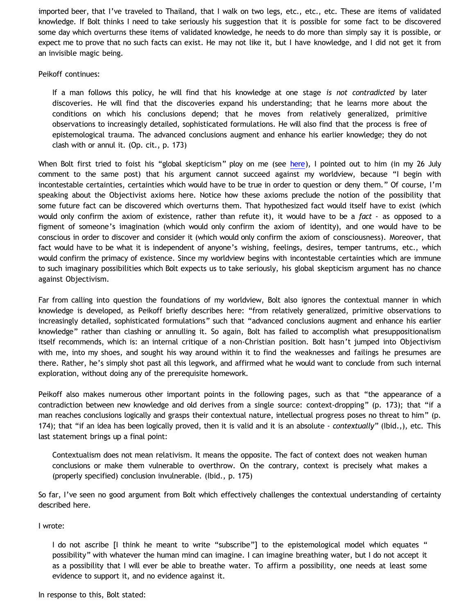imported beer, that I've traveled to Thailand, that I walk on two legs, etc., etc., etc. These are items of validated knowledge. If Bolt thinks I need to take seriously his suggestion that it is possible for some fact to be discovered some day which overturns these items of validated knowledge, he needs to do more than simply say it is possible, or expect me to prove that no such facts can exist. He may not like it, but I have knowledge, and I did not get it from an invisible magic being.

## Peikoff continues:

If a man follows this policy, he will find that his knowledge at one stage *is not contradicted* by later discoveries. He will find that the discoveries expand his understanding; that he learns more about the conditions on which his conclusions depend; that he moves from relatively generalized, primitive observations to increasingly detailed, sophisticated formulations. He will also find that the process is free of epistemological trauma. The advanced conclusions augment and enhance his earlier knowledge; they do not clash with or annul it. (Op. cit., p. 173)

When Bolt first tried to foist his "global skepticism" ploy on me (see [here\)](http://choosinghats.blogspot.com/2009/07/friendly-chat-in-simple-terms.html), I pointed out to him (in my 26 July comment to the same post) that his argument cannot succeed against my worldview, because "I begin with incontestable certainties, certainties which would have to be true in order to question or deny them." Of course, I'm speaking about the Objectivist axioms here. Notice how these axioms preclude the notion of the possibility that some future fact can be discovered which overturns them. That hypothesized fact would itself have to exist (which would only confirm the axiom of existence, rather than refute it), it would have to be a *fact* - as opposed to a figment of someone's imagination (which would only confirm the axiom of identity), and one would have to be conscious in order to discover and consider it (which would only confirm the axiom of consciousness). Moreover, that fact would have to be what it is independent of anyone's wishing, feelings, desires, temper tantrums, etc., which would confirm the primacy of existence. Since my worldview begins with incontestable certainties which are immune to such imaginary possibilities which Bolt expects us to take seriously, his global skepticism argument has no chance against Objectivism.

Far from calling into question the foundations of my worldview, Bolt also ignores the contextual manner in which knowledge is developed, as Peikoff briefly describes here: "from relatively generalized, primitive observations to increasingly detailed, sophisticated formulations" such that "advanced conclusions augment and enhance his earlier knowledge" rather than clashing or annulling it. So again, Bolt has failed to accomplish what presuppositionalism itself recommends, which is: an internal critique of a non-Christian position. Bolt hasn't jumped into Objectivism with me, into my shoes, and sought his way around within it to find the weaknesses and failings he presumes are there. Rather, he's simply shot past all this legwork, and affirmed what he would want to conclude from such internal exploration, without doing any of the prerequisite homework.

Peikoff also makes numerous other important points in the following pages, such as that "the appearance of a contradiction between new knowledge and old derives from a single source: context-dropping" (p. 173); that "if a man reaches conclusions logically and grasps their contextual nature, intellectual progress poses no threat to him" (p. 174); that "if an idea has been logically proved, then it is valid and it is an absolute - *contextually*" (Ibid.,), etc. This last statement brings up a final point:

Contextualism does not mean relativism. It means the opposite. The fact of context does not weaken human conclusions or make them vulnerable to overthrow. On the contrary, context is precisely what makes a (properly specified) conclusion invulnerable. (Ibid., p. 175)

So far, I've seen no good argument from Bolt which effectively challenges the contextual understanding of certainty described here.

I wrote:

I do not ascribe [I think he meant to write "subscribe"] to the epistemological model which equates " possibility" with whatever the human mind can imagine. I can imagine breathing water, but I do not accept it as a possibility that I will ever be able to breathe water. To affirm a possibility, one needs at least some evidence to support it, and no evidence against it.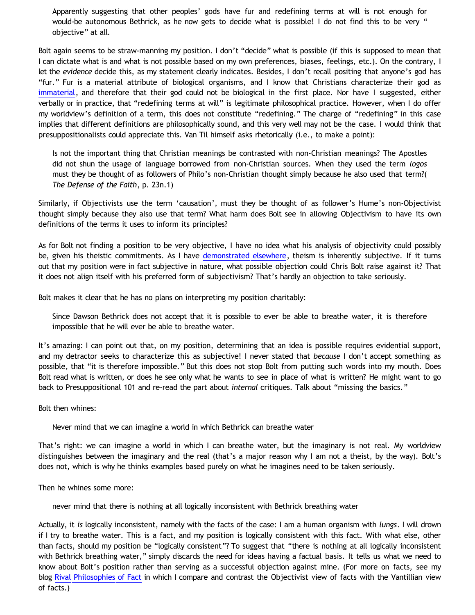Apparently suggesting that other peoples' gods have fur and redefining terms at will is not enough for would-be autonomous Bethrick, as he now gets to decide what is possible! I do not find this to be very " objective" at all.

Bolt again seems to be straw-manning my position. I don't "decide" what is possible (if this is supposed to mean that I can dictate what is and what is not possible based on my own preferences, biases, feelings, etc.). On the contrary, I let the *evidence* decide this, as my statement clearly indicates. Besides, I don't recall positing that anyone's god has "fur." Fur is a material attribute of biological organisms, and I know that Christians characterize their god as [immaterial,](http://bahnsenburner.blogspot.com/2009/06/is-immaterial-actually-imaginary.html) and therefore that their god could not be biological in the first place. Nor have I suggested, either verbally or in practice, that "redefining terms at will" is legitimate philosophical practice. However, when I do offer my worldview's definition of a term, this does not constitute "redefining." The charge of "redefining" in this case implies that different definitions are philosophically sound, and this very well may not be the case. I would think that presuppositionalists could appreciate this. Van Til himself asks rhetorically (i.e., to make a point):

Is not the important thing that Christian meanings be contrasted with non-Christian meanings? The Apostles did not shun the usage of language borrowed from non-Christian sources. When they used the term *logos* must they be thought of as followers of Philo's non-Christian thought simply because he also used that term?( *The Defense of the Faith*, p. 23n.1)

Similarly, if Objectivists use the term 'causation', must they be thought of as follower's Hume's non-Objectivist thought simply because they also use that term? What harm does Bolt see in allowing Objectivism to have its own definitions of the terms it uses to inform its principles?

As for Bolt not finding a position to be very objective, I have no idea what his analysis of objectivity could possibly be, given his theistic commitments. As I have [demonstrated elsewhere,](http://bahnsenburner.blogspot.com/2008/12/inherent-subjectivism-of-god-belief.html) theism is inherently subjective. If it turns out that my position were in fact subjective in nature, what possible objection could Chris Bolt raise against it? That it does not align itself with his preferred form of subjectivism? That's hardly an objection to take seriously.

Bolt makes it clear that he has no plans on interpreting my position charitably:

Since Dawson Bethrick does not accept that it is possible to ever be able to breathe water, it is therefore impossible that he will ever be able to breathe water.

It's amazing: I can point out that, on my position, determining that an idea is possible requires evidential support, and my detractor seeks to characterize this as subjective! I never stated that *because* I don't accept something as possible, that "it is therefore impossible." But this does not stop Bolt from putting such words into my mouth. Does Bolt read what is written, or does he see only what he wants to see in place of what is written? He might want to go back to Presuppositional 101 and re-read the part about *internal* critiques. Talk about "missing the basics."

#### Bolt then whines:

Never mind that we can imagine a world in which Bethrick can breathe water

That's right: we can imagine a world in which I can breathe water, but the imaginary is not real. My worldview distinguishes between the imaginary and the real (that's a major reason why I am not a theist, by the way). Bolt's does not, which is why he thinks examples based purely on what he imagines need to be taken seriously.

Then he whines some more:

never mind that there is nothing at all logically inconsistent with Bethrick breathing water

Actually, it *is* logically inconsistent, namely with the facts of the case: I am a human organism with *lungs*. I will drown if I try to breathe water. This is a fact, and my position is logically consistent with this fact. With what else, other than facts, should my position be "logically consistent"? To suggest that "there is nothing at all logically inconsistent with Bethrick breathing water," simply discards the need for ideas having a factual basis. It tells us what we need to know about Bolt's position rather than serving as a successful objection against mine. (For more on facts, see my blog [Rival Philosophies of Fact](http://bahnsenburner.blogspot.com/2008/11/rival-philosophies-of-fact.html) in which I compare and contrast the Objectivist view of facts with the Vantillian view of facts.)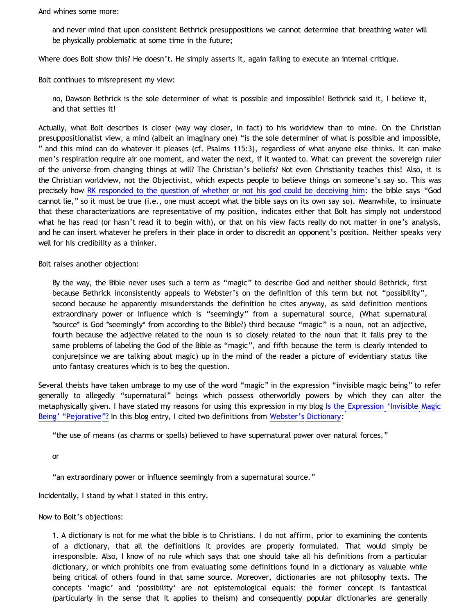And whines some more:

and never mind that upon consistent Bethrick presuppositions we cannot determine that breathing water will be physically problematic at some time in the future;

Where does Bolt show this? He doesn't. He simply asserts it, again failing to execute an internal critique.

Bolt continues to misrepresent my view:

no, Dawson Bethrick is the sole determiner of what is possible and impossible! Bethrick said it, I believe it, and that settles it!

Actually, what Bolt describes is closer (way way closer, in fact) to his worldview than to mine. On the Christian presuppositionalist view, a mind (albeit an imaginary one) "is the sole determiner of what is possible and impossible, " and this mind can do whatever it pleases (cf. Psalms 115:3), regardless of what anyone else thinks. It can make men's respiration require air one moment, and water the next, if it wanted to. What can prevent the sovereign ruler of the universe from changing things at will? The Christian's beliefs? Not even Christianity teaches this! Also, it is the Christian worldview, not the Objectivist, which expects people to believe things on someone's say so. This was precisely how [RK responded to the question of whether or not his god could be deceiving him](http://bahnsenburner.blogspot.com/2009/08/razorskiss-on-christian-god-as-basis-of_28.html): the bible says "God cannot lie," so it must be true (i.e., one must accept what the bible says on its own say so). Meanwhile, to insinuate that these characterizations are representative of my position, indicates either that Bolt has simply not understood what he has read (or hasn't read it to begin with), or that on his view facts really do not matter in one's analysis, and he can insert whatever he prefers in their place in order to discredit an opponent's position. Neither speaks very well for his credibility as a thinker.

Bolt raises another objection:

By the way, the Bible never uses such a term as "magic" to describe God and neither should Bethrick, first because Bethrick inconsistently appeals to Webster's on the definition of this term but not "possibility", second because he apparently misunderstands the definition he cites anyway, as said definition mentions extraordinary power or influence which is "seemingly" from a supernatural source, (What supernatural \*source\* is God \*seemingly\* from according to the Bible?) third because "magic" is a noun, not an adjective, fourth because the adjective related to the noun is so closely related to the noun that it falls prey to the same problems of labeling the God of the Bible as "magic", and fifth because the term is clearly intended to conjure(since we are talking about magic) up in the mind of the reader a picture of evidentiary status like unto fantasy creatures which is to beg the question.

Several theists have taken umbrage to my use of the word "magic" in the expression "invisible magic being" to refer generally to allegedly "supernatural" beings which possess otherworldly powers by which they can alter the metaphysically given. I have stated my reasons for using this expression in my blog [Is the Expression](http://bahnsenburner.blogspot.com/2006/10/is-expression-invisible-magic-being.html) ['Invisible Magic](http://bahnsenburner.blogspot.com/2006/10/is-expression-invisible-magic-being.html) [Being'](http://bahnsenburner.blogspot.com/2006/10/is-expression-invisible-magic-being.html) ["Pejorative"?](http://bahnsenburner.blogspot.com/2006/10/is-expression-invisible-magic-being.html) In this blog entry, I cited two definitions from [Webster's Dictionary](http://www.m-w.com/dictionary/magic):

"the use of means (as charms or spells) believed to have supernatural power over natural forces,"

or

"an extraordinary power or influence seemingly from a supernatural source."

Incidentally, I stand by what I stated in this entry.

Now to Bolt's objections:

1. A dictionary is not for me what the bible is to Christians. I do not affirm, prior to examining the contents of a dictionary, that all the definitions it provides are properly formulated. That would simply be irresponsible. Also, I know of no rule which says that one should take all his definitions from a particular dictionary, or which prohibits one from evaluating some definitions found in a dictionary as valuable while being critical of others found in that same source. Moreover, dictionaries are not philosophy texts. The concepts 'magic' and 'possibility' are not epistemological equals: the former concept is fantastical (particularly in the sense that it applies to theism) and consequently popular dictionaries are generally